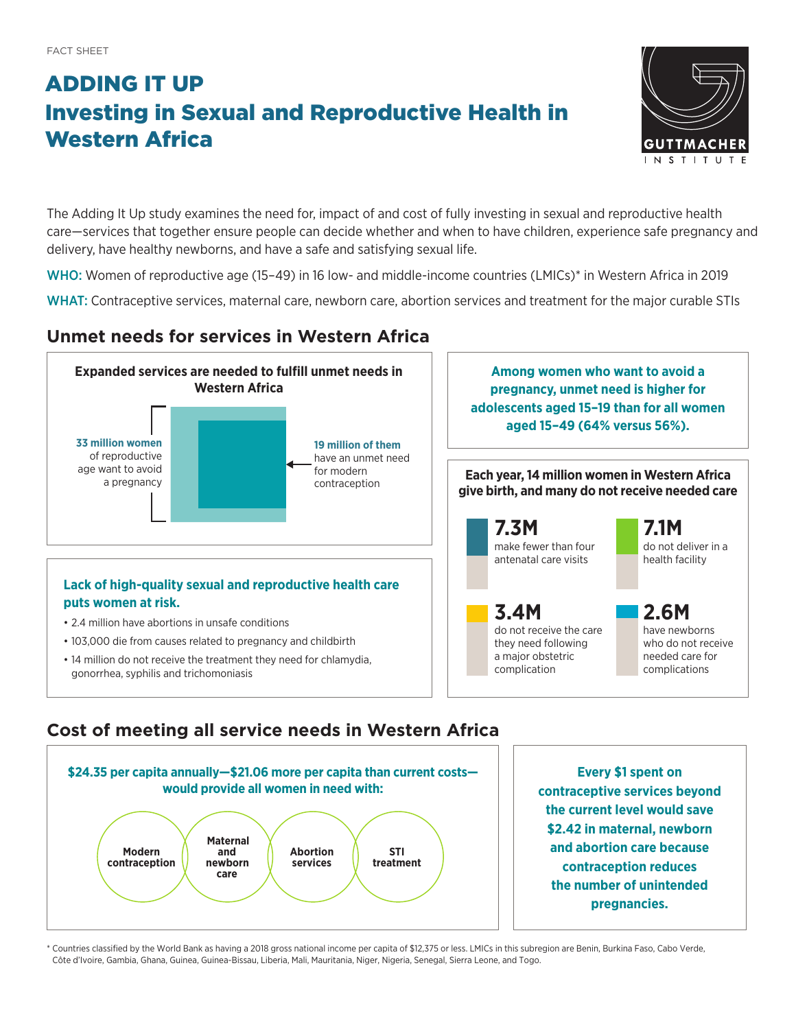# ADDING IT UP Investing in Sexual and Reproductive Health in Western Africa



The Adding It Up study examines the need for, impact of and cost of fully investing in sexual and reproductive health care—services that together ensure people can decide whether and when to have children, experience safe pregnancy and delivery, have healthy newborns, and have a safe and satisfying sexual life.

WHO: Women of reproductive age (15–49) in 16 low- and middle-income countries (LMICs)\* in Western Africa in 2019

WHAT: Contraceptive services, maternal care, newborn care, abortion services and treatment for the major curable STIs

## **Unmet needs for services in Western Africa**



## **Cost of meeting all service needs in Western Africa**



**Every \$1 spent on contraceptive services beyond the current level would save \$2.42 in maternal, newborn and abortion care because contraception reduces the number of unintended pregnancies.**

\* Countries classified by the World Bank as having a 2018 gross national income per capita of \$12,375 or less. LMICs in this subregion are Benin, Burkina Faso, Cabo Verde, Côte d'Ivoire, Gambia, Ghana, Guinea, Guinea-Bissau, Liberia, Mali, Mauritania, Niger, Nigeria, Senegal, Sierra Leone, and Togo.